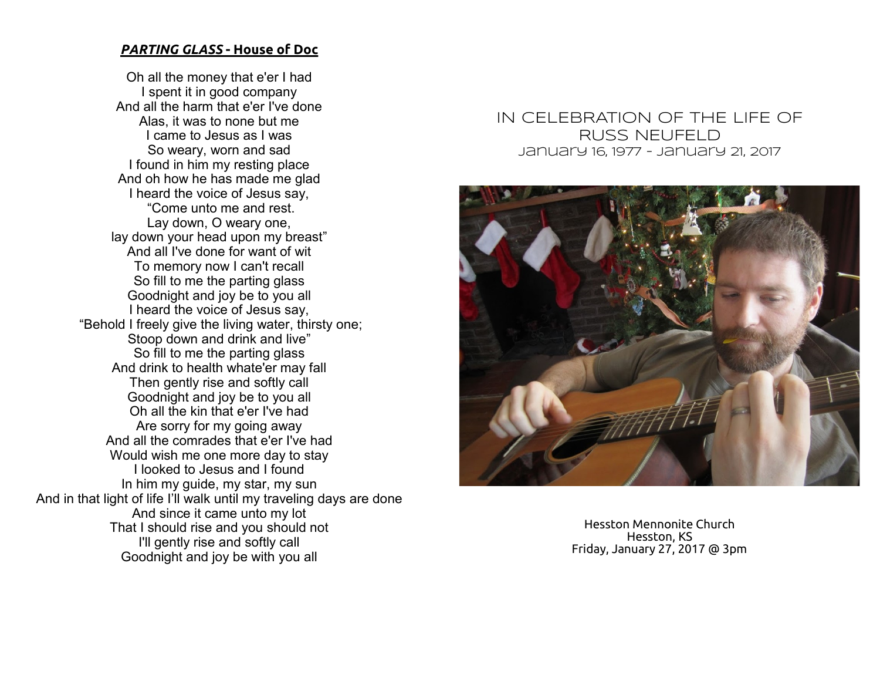#### *PARTING GLASS* **- House of Doc**

Oh all the money that e'er I had I spent it in good company And all the harm that e'er I've done Alas, it was to none but me I came to Jesus as I was So weary, worn and sad I found in him my resting place And oh how he has made me glad I heard the voice of Jesus say, "Come unto me and rest. Lay down, O weary one, lay down your head upon my breast" And all I've done for want of wit To memory now I can't recall So fill to me the parting glass Goodnight and joy be to you all I heard the voice of Jesus say, "Behold I freely give the living water, thirsty one; Stoop down and drink and live" So fill to me the parting glass And drink to health whate'er may fall Then gently rise and softly call Goodnight and joy be to you all Oh all the kin that e'er I've had Are sorry for my going away And all the comrades that e'er I've had Would wish me one more day to stay I looked to Jesus and I found In him my guide, my star, my sun And in that light of life I'll walk until my traveling days are done And since it came unto my lot That I should rise and you should not I'll gently rise and softly call Goodnight and joy be with you all

# IN CELEBRATION OF THE LIFE OF **RUSS NEUFELD January 16, 1977 - January 21, 2017**



Hesston Mennonite Church Hesston, KS Friday, January 27, 2017 @ 3pm